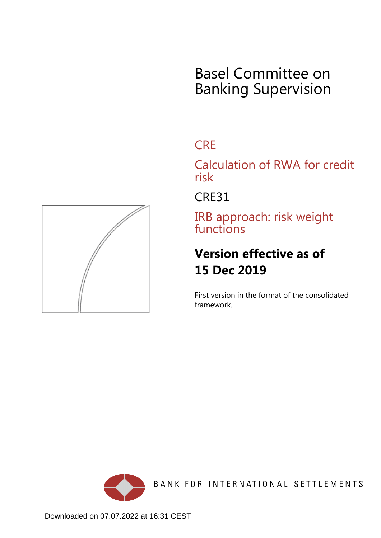# Basel Committee on Banking Supervision

# **CRE**

Calculation of RWA for credit risk

CRE31

IRB approach: risk weight functions

# **Version effective as of 15 Dec 2019**

First version in the format of the consolidated framework.



BANK FOR INTERNATIONAL SETTLEMENTS

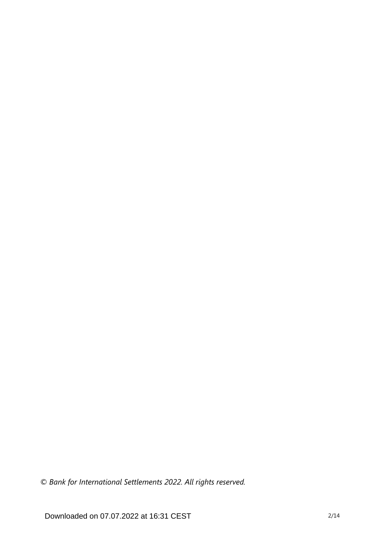*© Bank for International Settlements 2022. All rights reserved.*

Downloaded on 07.07.2022 at 16:31 CEST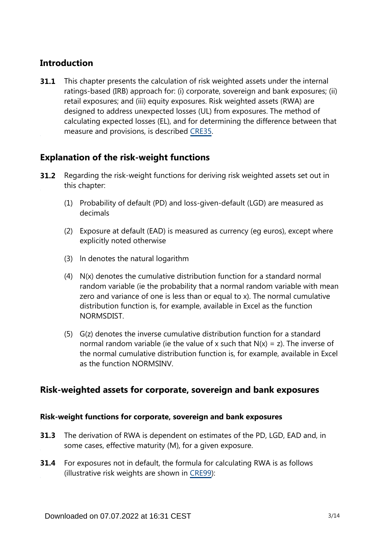# **Introduction**

This chapter presents the calculation of risk weighted assets under the internal ratings-based (IRB) approach for: (i) corporate, sovereign and bank exposures; (ii) retail exposures; and (iii) equity exposures. Risk weighted assets (RWA) are designed to address unexpected losses (UL) from exposures. The method of calculating expected losses (EL), and for determining the difference between that measure and provisions, is described [CRE35.](https://www.bis.org/basel_framework/chapter/CRE/35.htm?tldate=20191231&inforce=20191215&published=20191215) **31.1**

# **Explanation of the risk-weight functions**

- Regarding the risk-weight functions for deriving risk weighted assets set out in this chapter: **31.2**
	- (1) Probability of default (PD) and loss-given-default (LGD) are measured as decimals
	- (2) Exposure at default (EAD) is measured as currency (eg euros), except where explicitly noted otherwise
	- (3) ln denotes the natural logarithm
	- (4) N(x) denotes the cumulative distribution function for a standard normal random variable (ie the probability that a normal random variable with mean zero and variance of one is less than or equal to x). The normal cumulative distribution function is, for example, available in Excel as the function NORMSDIST.
	- (5) G(z) denotes the inverse cumulative distribution function for a standard normal random variable (ie the value of x such that  $N(x) = z$ ). The inverse of the normal cumulative distribution function is, for example, available in Excel as the function NORMSINV.

# **Risk-weighted assets for corporate, sovereign and bank exposures**

## **Risk-weight functions for corporate, sovereign and bank exposures**

- **31.3** The derivation of RWA is dependent on estimates of the PD, LGD, EAD and, in some cases, effective maturity (M), for a given exposure.
- **31.4** For exposures not in default, the formula for calculating RWA is as follows (illustrative risk weights are shown in [CRE99](https://www.bis.org/basel_framework/chapter/CRE/99.htm?tldate=20191231&inforce=20191215&published=20191215)):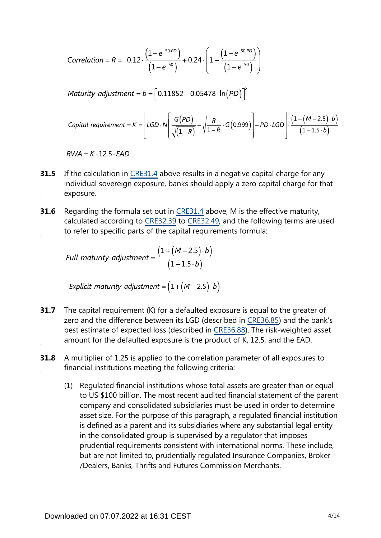Correlation = R = 0.12 
$$
\cdot \frac{(1-e^{-50.PD})}{(1-e^{-50})} + 0.24 \cdot \left(1 - \frac{(1-e^{-50.PD})}{(1-e^{-50})}\right)
$$

Maturity adjustment =  $b = \left[ 0.11852 - 0.05478 \cdot \ln(PD) \right]^2$ 

\n
$$
\text{Capital requirement} = K = \left[ \text{LGD} \cdot N \left[ \frac{G(PD)}{\sqrt{(1-R)}} + \sqrt{\frac{R}{1-R}} \cdot G(0.999) \right] - PD \cdot \text{LGD} \right] \cdot \frac{\left( 1 + (M - 2.5) \cdot b \right)}{\left( 1 - 1.5 \cdot b \right)}
$$
\n

 $RWA = K \cdot 12.5 \cdot EAD$ 

- If the calculation in [CRE31.4](https://www.bis.org/basel_framework/chapter/CRE/31.htm?tldate=20191231&inforce=20191215&published=20191215#paragraph_CRE_31_20191215_31_4) above results in a negative capital charge for any individual sovereign exposure, banks should apply a zero capital charge for that exposure. **31.5**
- Regarding the formula set out in [CRE31.4](https://www.bis.org/basel_framework/chapter/CRE/31.htm?tldate=20191231&inforce=20191215&published=20191215#paragraph_CRE_31_20191215_31_4) above, M is the effective maturity, calculated according to [CRE32.39](https://www.bis.org/basel_framework/chapter/CRE/32.htm?tldate=20191231&inforce=20191215&published=20191215#paragraph_CRE_32_20191215_32_39) to [CRE32.49](https://www.bis.org/basel_framework/chapter/CRE/32.htm?tldate=20191231&inforce=20191215&published=20191215#paragraph_CRE_32_20191215_32_49), and the following terms are used to refer to specific parts of the capital requirements formula: **31.6**

Full maturity adjustment = 
$$
\frac{(1 + (M - 2.5) \cdot b)}{(1 - 1.5 \cdot b)}
$$

Explicit maturity adjustment =  $(1 + (M - 2.5) \cdot b)$ 

- The capital requirement (K) for a defaulted exposure is equal to the greater of zero and the difference between its LGD (described in [CRE36.85\)](https://www.bis.org/basel_framework/chapter/CRE/36.htm?tldate=20191231&inforce=20191215&published=20191215#paragraph_CRE_36_20191215_36_85) and the bank's best estimate of expected loss (described in [CRE36.88](https://www.bis.org/basel_framework/chapter/CRE/36.htm?tldate=20191231&inforce=20191215&published=20191215#paragraph_CRE_36_20191215_36_88)). The risk-weighted asset amount for the defaulted exposure is the product of K, 12.5, and the EAD. **31.7**
- A multiplier of 1.25 is applied to the correlation parameter of all exposures to financial institutions meeting the following criteria: **31.8**
	- (1) Regulated financial institutions whose total assets are greater than or equal to US \$100 billion. The most recent audited financial statement of the parent company and consolidated subsidiaries must be used in order to determine asset size. For the purpose of this paragraph, a regulated financial institution is defined as a parent and its subsidiaries where any substantial legal entity in the consolidated group is supervised by a regulator that imposes prudential requirements consistent with international norms. These include, but are not limited to, prudentially regulated Insurance Companies, Broker /Dealers, Banks, Thrifts and Futures Commission Merchants.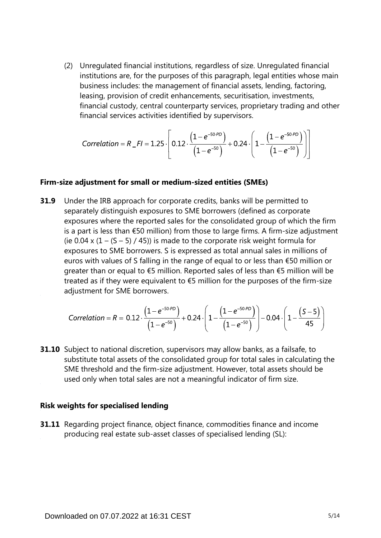(2) Unregulated financial institutions, regardless of size. Unregulated financial institutions are, for the purposes of this paragraph, legal entities whose main business includes: the management of financial assets, lending, factoring, leasing, provision of credit enhancements, securitisation, investments, financial custody, central counterparty services, proprietary trading and other financial services activities identified by supervisors.

Correlation = 
$$
R_F I = 1.25 \cdot \left[ 0.12 \cdot \frac{\left(1 - e^{-50.9D}\right)}{\left(1 - e^{-50.9}\right)} + 0.24 \cdot \left(1 - \frac{\left(1 - e^{-50.9D}\right)}{\left(1 - e^{-50.9}\right)}\right) \right]
$$

#### **Firm-size adjustment for small or medium-sized entities (SMEs)**

Under the IRB approach for corporate credits, banks will be permitted to separately distinguish exposures to SME borrowers (defined as corporate exposures where the reported sales for the consolidated group of which the firm is a part is less than €50 million) from those to large firms. A firm-size adjustment (ie 0.04 x  $(1 - (S - 5) / 45)$ ) is made to the corporate risk weight formula for exposures to SME borrowers. S is expressed as total annual sales in millions of euros with values of S falling in the range of equal to or less than €50 million or greater than or equal to €5 million. Reported sales of less than €5 million will be treated as if they were equivalent to  $\epsilon$ 5 million for the purposes of the firm-size adjustment for SME borrowers. **31.9**

$$
Correlation = R = 0.12 \cdot \frac{\left(1 - e^{-50 \cdot P D}\right)}{\left(1 - e^{-50}\right)} + 0.24 \cdot \left(1 - \frac{\left(1 - e^{-50 \cdot P D}\right)}{\left(1 - e^{-50}\right)}\right) - 0.04 \cdot \left(1 - \frac{\left(S - 5\right)}{45}\right)
$$

**31.10** Subject to national discretion, supervisors may allow banks, as a failsafe, to substitute total assets of the consolidated group for total sales in calculating the SME threshold and the firm-size adjustment. However, total assets should be used only when total sales are not a meaningful indicator of firm size.

#### **Risk weights for specialised lending**

**31.11** Regarding project finance, object finance, commodities finance and income producing real estate sub-asset classes of specialised lending (SL):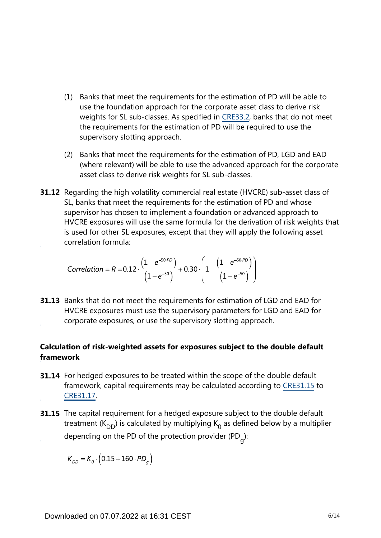- (1) Banks that meet the requirements for the estimation of PD will be able to use the foundation approach for the corporate asset class to derive risk weights for SL sub-classes. As specified in [CRE33.2,](https://www.bis.org/basel_framework/chapter/CRE/33.htm?tldate=20191231&inforce=20191215&published=20191215#paragraph_CRE_33_20191215_33_2) banks that do not meet the requirements for the estimation of PD will be required to use the supervisory slotting approach.
- (2) Banks that meet the requirements for the estimation of PD, LGD and EAD (where relevant) will be able to use the advanced approach for the corporate asset class to derive risk weights for SL sub-classes.
- **31.12** Regarding the high volatility commercial real estate (HVCRE) sub-asset class of SL, banks that meet the requirements for the estimation of PD and whose supervisor has chosen to implement a foundation or advanced approach to HVCRE exposures will use the same formula for the derivation of risk weights that is used for other SL exposures, except that they will apply the following asset correlation formula:

$$
Correlation = R = 0.12 \cdot \frac{\left(1 - e^{-50 \cdot PD}\right)}{\left(1 - e^{-50}\right)} + 0.30 \cdot \left(1 - \frac{\left(1 - e^{-50 \cdot PD}\right)}{\left(1 - e^{-50}\right)}\right)
$$

**31.13** Banks that do not meet the requirements for estimation of LGD and EAD for HVCRE exposures must use the supervisory parameters for LGD and EAD for corporate exposures, or use the supervisory slotting approach.

# **Calculation of risk-weighted assets for exposures subject to the double default framework**

- **31.14** For hedged exposures to be treated within the scope of the double default framework, capital requirements may be calculated according to [CRE31.15](https://www.bis.org/basel_framework/chapter/CRE/31.htm?tldate=20191231&inforce=20191215&published=20191215#paragraph_CRE_31_20191215_31_15) to [CRE31.17](https://www.bis.org/basel_framework/chapter/CRE/31.htm?tldate=20191231&inforce=20191215&published=20191215#paragraph_CRE_31_20191215_31_17).
- **31.15** The capital requirement for a hedged exposure subject to the double default treatment (K<sub>DD</sub>) is calculated by multiplying K<sub>0</sub> as defined below by a multiplier depending on the PD of the protection provider (PD<sub>g</sub>):

 $K_{DD} = K_q \cdot (0.15 + 160 \cdot PD_q)$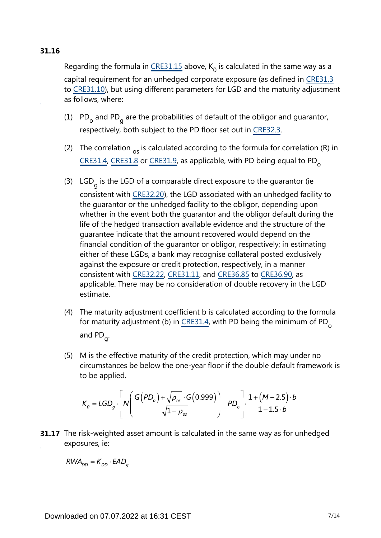# **31.16**

Regarding the formula in [CRE31.15](https://www.bis.org/basel_framework/chapter/CRE/31.htm?tldate=20191231&inforce=20191215&published=20191215#paragraph_CRE_31_20191215_31_15) above,  $K_0$  is calculated in the same way as a capital requirement for an unhedged corporate exposure (as defined in [CRE31.3](https://www.bis.org/basel_framework/chapter/CRE/31.htm?tldate=20191231&inforce=20191215&published=20191215#paragraph_CRE_31_20191215_31_3) to [CRE31.10\)](https://www.bis.org/basel_framework/chapter/CRE/31.htm?tldate=20191231&inforce=20191215&published=20191215#paragraph_CRE_31_20191215_31_10), but using different parameters for LGD and the maturity adjustment as follows, where:

- (1)  $PD_{o}$  and PD<sub>g</sub> are the probabilities of default of the obligor and guarantor, respectively, both subject to the PD floor set out in [CRE32.3](https://www.bis.org/basel_framework/chapter/CRE/32.htm?tldate=20191231&inforce=20191215&published=20191215#paragraph_CRE_32_20191215_32_3).
- (2) The correlation  $_{\text{os}}$  is calculated according to the formula for correlation (R) in  $CRE$ 31.4,  $CRE$ 31.8 or  $CRE$ 31.9, as applicable, with PD being equal to PD<sub>o</sub>
- (3) LGD<sub>g</sub> is the LGD of a comparable direct exposure to the guarantor (ie consistent with [CRE32.20](https://www.bis.org/basel_framework/chapter/CRE/32.htm?tldate=20191231&inforce=20191215&published=20191215#paragraph_CRE_32_20191215_32_20)), the LGD associated with an unhedged facility to the guarantor or the unhedged facility to the obligor, depending upon whether in the event both the guarantor and the obligor default during the life of the hedged transaction available evidence and the structure of the guarantee indicate that the amount recovered would depend on the financial condition of the guarantor or obligor, respectively; in estimating either of these LGDs, a bank may recognise collateral posted exclusively against the exposure or credit protection, respectively, in a manner consistent with [CRE32.22](https://www.bis.org/basel_framework/chapter/CRE/32.htm?tldate=20191231&inforce=20191215&published=20191215#paragraph_CRE_32_20191215_32_22), [CRE31.11](https://www.bis.org/basel_framework/chapter/CRE/31.htm?tldate=20191231&inforce=20191215&published=20191215#paragraph_CRE_31_20191215_31_11), and [CRE36.85](https://www.bis.org/basel_framework/chapter/CRE/36.htm?tldate=20191231&inforce=20191215&published=20191215#paragraph_CRE_36_20191215_36_85) to [CRE36.90,](https://www.bis.org/basel_framework/chapter/CRE/36.htm?tldate=20191231&inforce=20191215&published=20191215#paragraph_CRE_36_20191215_36_90) as applicable. There may be no consideration of double recovery in the LGD estimate.
- (4) The maturity adjustment coefficient b is calculated according to the formula for maturity adjustment (b) in [CRE31.4](https://www.bis.org/basel_framework/chapter/CRE/31.htm?tldate=20191231&inforce=20191215&published=20191215#paragraph_CRE_31_20191215_31_4), with PD being the minimum of PD<sub>o</sub> and PD<sub>g</sub>.
- (5) M is the effective maturity of the credit protection, which may under no circumstances be below the one-year floor if the double default framework is to be applied.

$$
K_o = LGD_g \cdot \left[ N \left( \frac{G(PD_o) + \sqrt{\rho_{os}} \cdot G(0.999)}{\sqrt{1 - \rho_{os}}} \right) - PD_o \right] \cdot \frac{1 + (M - 2.5) \cdot b}{1 - 1.5 \cdot b}
$$

**31.17** The risk-weighted asset amount is calculated in the same way as for unhedged exposures, ie:

 $RWA_{DD} = K_{DD} \cdot EAD_a$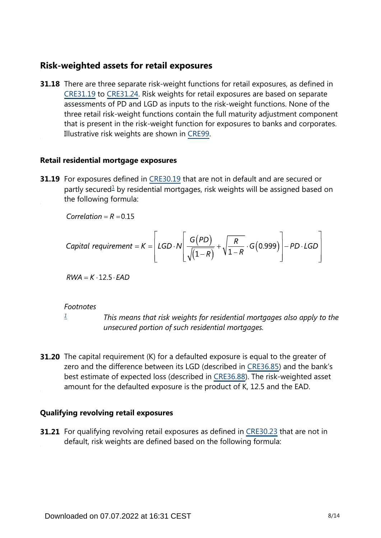# **Risk-weighted assets for retail exposures**

**31.18** There are three separate risk-weight functions for retail exposures, as defined in [CRE31.19](https://www.bis.org/basel_framework/chapter/CRE/31.htm?tldate=20191231&inforce=20191215&published=20191215#paragraph_CRE_31_20191215_31_19) to [CRE31.24](https://www.bis.org/basel_framework/chapter/CRE/31.htm?tldate=20191231&inforce=20191215&published=20191215#paragraph_CRE_31_20191215_31_24). Risk weights for retail exposures are based on separate assessments of PD and LGD as inputs to the risk-weight functions. None of the three retail risk-weight functions contain the full maturity adjustment component that is present in the risk-weight function for exposures to banks and corporates. Illustrative risk weights are shown in [CRE99](https://www.bis.org/basel_framework/chapter/CRE/99.htm?tldate=20191231&inforce=20191215&published=20191215).

#### **Retail residential mortgage exposures**

<span id="page-7-1"></span>**31.19** For exposures defined in [CRE30.19](https://www.bis.org/basel_framework/chapter/CRE/30.htm?tldate=20191231&inforce=20191215&published=20191215#paragraph_CRE_30_20191215_30_19) that are not in default and are secured or partly secured<sup>[1](#page-7-0)</sup> by residential mortgages, risk weights will be assigned based on the following formula:

Correlation =  $R = 0.15$ 

\n
$$
\text{Capital requirement} = K = \left[ \text{LGD} \cdot N \left[ \frac{G(PD)}{\sqrt{\left(1 - R\right)}} + \sqrt{\frac{R}{1 - R}} \cdot G\left(0.999\right) \right] - PD \cdot LGD \right]
$$
\n

 $RWA = K \cdot 12.5 \cdot EAD$ 

#### *Footnotes*

*[1](#page-7-1)*

*This means that risk weights for residential mortgages also apply to the unsecured portion of such residential mortgages.*

<span id="page-7-0"></span>**31.20** The capital requirement (K) for a defaulted exposure is equal to the greater of zero and the difference between its LGD (described in [CRE36.85\)](https://www.bis.org/basel_framework/chapter/CRE/36.htm?tldate=20191231&inforce=20191215&published=20191215#paragraph_CRE_36_20191215_36_85) and the bank's best estimate of expected loss (described in [CRE36.88](https://www.bis.org/basel_framework/chapter/CRE/36.htm?tldate=20191231&inforce=20191215&published=20191215#paragraph_CRE_36_20191215_36_88)). The risk-weighted asset amount for the defaulted exposure is the product of K, 12.5 and the EAD.

#### **Qualifying revolving retail exposures**

**31.21** For qualifying revolving retail exposures as defined in [CRE30.23](https://www.bis.org/basel_framework/chapter/CRE/30.htm?tldate=20191231&inforce=20191215&published=20191215#paragraph_CRE_30_20191215_30_23) that are not in default, risk weights are defined based on the following formula: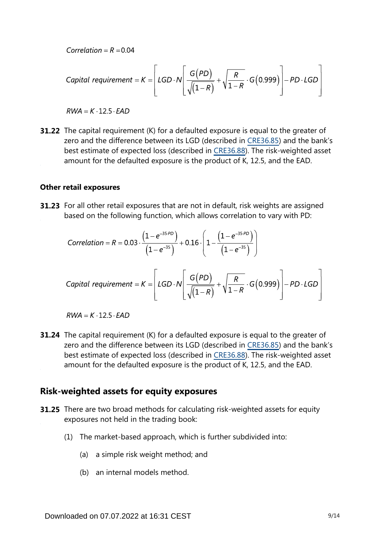Correlation =  $R = 0.04$ 

\n
$$
\text{Capital requirement} = K = \left[ \text{LGD} \cdot N \left[ \frac{G(PD)}{\sqrt{\left(1 - R\right)}} + \sqrt{\frac{R}{1 - R}} \cdot G(0.999) \right] - PD \cdot LGD \right]
$$
\n

 $RWA = K \cdot 12.5 \cdot EAD$ 

**31.22** The capital requirement (K) for a defaulted exposure is equal to the greater of zero and the difference between its LGD (described in [CRE36.85\)](https://www.bis.org/basel_framework/chapter/CRE/36.htm?tldate=20191231&inforce=20191215&published=20191215#paragraph_CRE_36_20191215_36_85) and the bank's best estimate of expected loss (described in [CRE36.88](https://www.bis.org/basel_framework/chapter/CRE/36.htm?tldate=20191231&inforce=20191215&published=20191215#paragraph_CRE_36_20191215_36_88)). The risk-weighted asset amount for the defaulted exposure is the product of K, 12.5, and the EAD.

#### **Other retail exposures**

**31.23** For all other retail exposures that are not in default, risk weights are assigned based on the following function, which allows correlation to vary with PD:

Correlation = R = 0.03 
$$
\cdot \frac{(1-e^{-35.PD})}{(1-e^{-35})} + 0.16 \cdot \left(1 - \frac{(1-e^{-35.PD})}{(1-e^{-35})}\right)
$$

\n
$$
\text{Capital requirement} = K = \left[ \text{LGD} \cdot N \left[ \frac{G(PD)}{\sqrt{(1-R)}} + \sqrt{\frac{R}{1-R}} \cdot G(0.999) \right] - PD \cdot LGD \right]
$$
\n

 $RWA = K \cdot 12.5 \cdot EAD$ 

**31.24** The capital requirement (K) for a defaulted exposure is equal to the greater of zero and the difference between its LGD (described in [CRE36.85\)](https://www.bis.org/basel_framework/chapter/CRE/36.htm?tldate=20191231&inforce=20191215&published=20191215#paragraph_CRE_36_20191215_36_85) and the bank's best estimate of expected loss (described in [CRE36.88](https://www.bis.org/basel_framework/chapter/CRE/36.htm?tldate=20191231&inforce=20191215&published=20191215#paragraph_CRE_36_20191215_36_88)). The risk-weighted asset amount for the defaulted exposure is the product of K, 12.5, and the EAD.

## **Risk-weighted assets for equity exposures**

- **31.25** There are two broad methods for calculating risk-weighted assets for equity exposures not held in the trading book:
	- (1) The market-based approach, which is further subdivided into:
		- (a) a simple risk weight method; and
		- (b) an internal models method.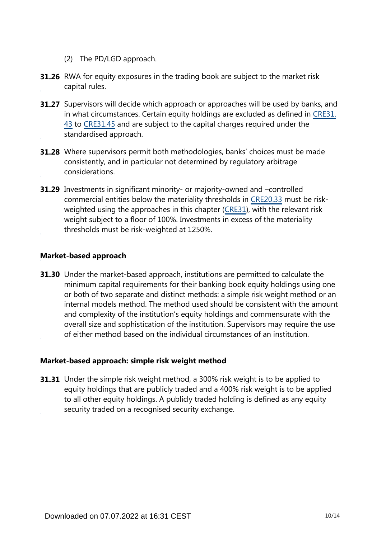- (2) The PD/LGD approach.
- **31.26** RWA for equity exposures in the trading book are subject to the market risk capital rules.
- **31.27** Supervisors will decide which approach or approaches will be used by banks, and in what circumstances. Certain equity holdings are excluded as defined in [CRE31.](https://www.bis.org/basel_framework/chapter/CRE/31.htm?tldate=20191231&inforce=20191215&published=20191215#paragraph_CRE_31_20191215_31_43) [43](https://www.bis.org/basel_framework/chapter/CRE/31.htm?tldate=20191231&inforce=20191215&published=20191215#paragraph_CRE_31_20191215_31_43) to [CRE31.45](https://www.bis.org/basel_framework/chapter/CRE/31.htm?tldate=20191231&inforce=20191215&published=20191215#paragraph_CRE_31_20191215_31_45) and are subject to the capital charges required under the standardised approach.
- **31.28** Where supervisors permit both methodologies, banks' choices must be made consistently, and in particular not determined by regulatory arbitrage considerations.
- **31.29** Investments in significant minority- or majority-owned and -controlled commercial entities below the materiality thresholds in [CRE20.33](https://www.bis.org/basel_framework/chapter/CRE/20.htm?tldate=20191231&inforce=20191215&published=20191215#paragraph_CRE_20_20191215_20_33) must be riskweighted using the approaches in this chapter [\(CRE31\)](https://www.bis.org/basel_framework/chapter/CRE/31.htm?tldate=20191231&inforce=20191215&published=20191215), with the relevant risk weight subject to a floor of 100%. Investments in excess of the materiality thresholds must be risk-weighted at 1250%.

#### **Market-based approach**

**31.30** Under the market-based approach, institutions are permitted to calculate the minimum capital requirements for their banking book equity holdings using one or both of two separate and distinct methods: a simple risk weight method or an internal models method. The method used should be consistent with the amount and complexity of the institution's equity holdings and commensurate with the overall size and sophistication of the institution. Supervisors may require the use of either method based on the individual circumstances of an institution.

## **Market-based approach: simple risk weight method**

**31.31** Under the simple risk weight method, a 300% risk weight is to be applied to equity holdings that are publicly traded and a 400% risk weight is to be applied to all other equity holdings. A publicly traded holding is defined as any equity security traded on a recognised security exchange.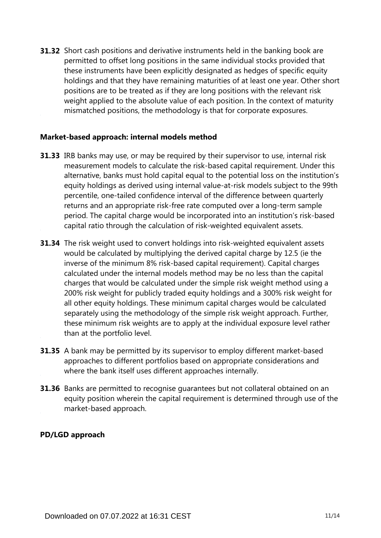**31.32** Short cash positions and derivative instruments held in the banking book are permitted to offset long positions in the same individual stocks provided that these instruments have been explicitly designated as hedges of specific equity holdings and that they have remaining maturities of at least one year. Other short positions are to be treated as if they are long positions with the relevant risk weight applied to the absolute value of each position. In the context of maturity mismatched positions, the methodology is that for corporate exposures.

## **Market-based approach: internal models method**

- **31.33** IRB banks may use, or may be required by their supervisor to use, internal risk measurement models to calculate the risk-based capital requirement. Under this alternative, banks must hold capital equal to the potential loss on the institution's equity holdings as derived using internal value-at-risk models subject to the 99th percentile, one-tailed confidence interval of the difference between quarterly returns and an appropriate risk-free rate computed over a long-term sample period. The capital charge would be incorporated into an institution's risk-based capital ratio through the calculation of risk-weighted equivalent assets.
- **31.34** The risk weight used to convert holdings into risk-weighted equivalent assets would be calculated by multiplying the derived capital charge by 12.5 (ie the inverse of the minimum 8% risk-based capital requirement). Capital charges calculated under the internal models method may be no less than the capital charges that would be calculated under the simple risk weight method using a 200% risk weight for publicly traded equity holdings and a 300% risk weight for all other equity holdings. These minimum capital charges would be calculated separately using the methodology of the simple risk weight approach. Further, these minimum risk weights are to apply at the individual exposure level rather than at the portfolio level.
- **31.35** A bank may be permitted by its supervisor to employ different market-based approaches to different portfolios based on appropriate considerations and where the bank itself uses different approaches internally.
- **31.36** Banks are permitted to recognise guarantees but not collateral obtained on an equity position wherein the capital requirement is determined through use of the market-based approach.

#### **PD/LGD approach**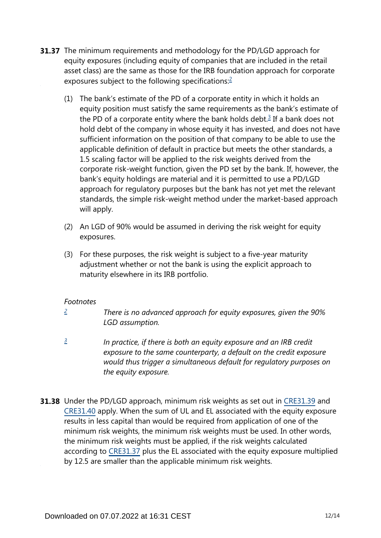- <span id="page-11-3"></span><span id="page-11-2"></span>**31.37** The minimum requirements and methodology for the PD/LGD approach for equity exposures (including equity of companies that are included in the retail asset class) are the same as those for the IRB foundation approach for corporate exposures subject to the following specifications:[2](#page-11-0)
	- (1) The bank's estimate of the PD of a corporate entity in which it holds an equity position must satisfy the same requirements as the bank's estimate of the PD of a corporate entity where the bank holds debt. $3$  If a bank does not hold debt of the company in whose equity it has invested, and does not have sufficient information on the position of that company to be able to use the applicable definition of default in practice but meets the other standards, a 1.5 scaling factor will be applied to the risk weights derived from the corporate risk-weight function, given the PD set by the bank. If, however, the bank's equity holdings are material and it is permitted to use a PD/LGD approach for regulatory purposes but the bank has not yet met the relevant standards, the simple risk-weight method under the market-based approach will apply.
	- (2) An LGD of 90% would be assumed in deriving the risk weight for equity exposures.
	- (3) For these purposes, the risk weight is subject to a five-year maturity adjustment whether or not the bank is using the explicit approach to maturity elsewhere in its IRB portfolio.

## *Footnotes*

- <span id="page-11-0"></span>*There is no advanced approach for equity exposures, given the 90% LGD assumption. [2](#page-11-2)*
- <span id="page-11-1"></span>*In practice, if there is both an equity exposure and an IRB credit exposure to the same counterparty, a default on the credit exposure would thus trigger a simultaneous default for regulatory purposes on the equity exposure. [3](#page-11-3)*
- **31.38** Under the PD/LGD approach, minimum risk weights as set out in [CRE31.39](https://www.bis.org/basel_framework/chapter/CRE/31.htm?tldate=20191231&inforce=20191215&published=20191215#paragraph_CRE_31_20191215_31_39) and [CRE31.40](https://www.bis.org/basel_framework/chapter/CRE/31.htm?tldate=20191231&inforce=20191215&published=20191215#paragraph_CRE_31_20191215_31_40) apply. When the sum of UL and EL associated with the equity exposure results in less capital than would be required from application of one of the minimum risk weights, the minimum risk weights must be used. In other words, the minimum risk weights must be applied, if the risk weights calculated according to [CRE31.37](https://www.bis.org/basel_framework/chapter/CRE/31.htm?tldate=20191231&inforce=20191215&published=20191215#paragraph_CRE_31_20191215_31_37) plus the EL associated with the equity exposure multiplied by 12.5 are smaller than the applicable minimum risk weights.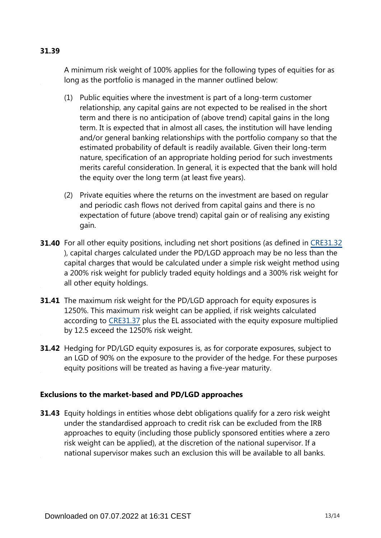# **31.39**

A minimum risk weight of 100% applies for the following types of equities for as long as the portfolio is managed in the manner outlined below:

- (1) Public equities where the investment is part of a long-term customer relationship, any capital gains are not expected to be realised in the short term and there is no anticipation of (above trend) capital gains in the long term. It is expected that in almost all cases, the institution will have lending and/or general banking relationships with the portfolio company so that the estimated probability of default is readily available. Given their long-term nature, specification of an appropriate holding period for such investments merits careful consideration. In general, it is expected that the bank will hold the equity over the long term (at least five years).
- (2) Private equities where the returns on the investment are based on regular and periodic cash flows not derived from capital gains and there is no expectation of future (above trend) capital gain or of realising any existing gain.
- **31.40** For all other equity positions, including net short positions (as defined in [CRE31.32](https://www.bis.org/basel_framework/chapter/CRE/31.htm?tldate=20191231&inforce=20191215&published=20191215#paragraph_CRE_31_20191215_31_32) ), capital charges calculated under the PD/LGD approach may be no less than the capital charges that would be calculated under a simple risk weight method using a 200% risk weight for publicly traded equity holdings and a 300% risk weight for all other equity holdings.
- **31.41** The maximum risk weight for the PD/LGD approach for equity exposures is 1250%. This maximum risk weight can be applied, if risk weights calculated according to [CRE31.37](https://www.bis.org/basel_framework/chapter/CRE/31.htm?tldate=20191231&inforce=20191215&published=20191215#paragraph_CRE_31_20191215_31_37) plus the EL associated with the equity exposure multiplied by 12.5 exceed the 1250% risk weight.
- **31.42** Hedging for PD/LGD equity exposures is, as for corporate exposures, subject to an LGD of 90% on the exposure to the provider of the hedge. For these purposes equity positions will be treated as having a five-year maturity.

## **Exclusions to the market-based and PD/LGD approaches**

**31.43** Equity holdings in entities whose debt obligations qualify for a zero risk weight under the standardised approach to credit risk can be excluded from the IRB approaches to equity (including those publicly sponsored entities where a zero risk weight can be applied), at the discretion of the national supervisor. If a national supervisor makes such an exclusion this will be available to all banks.